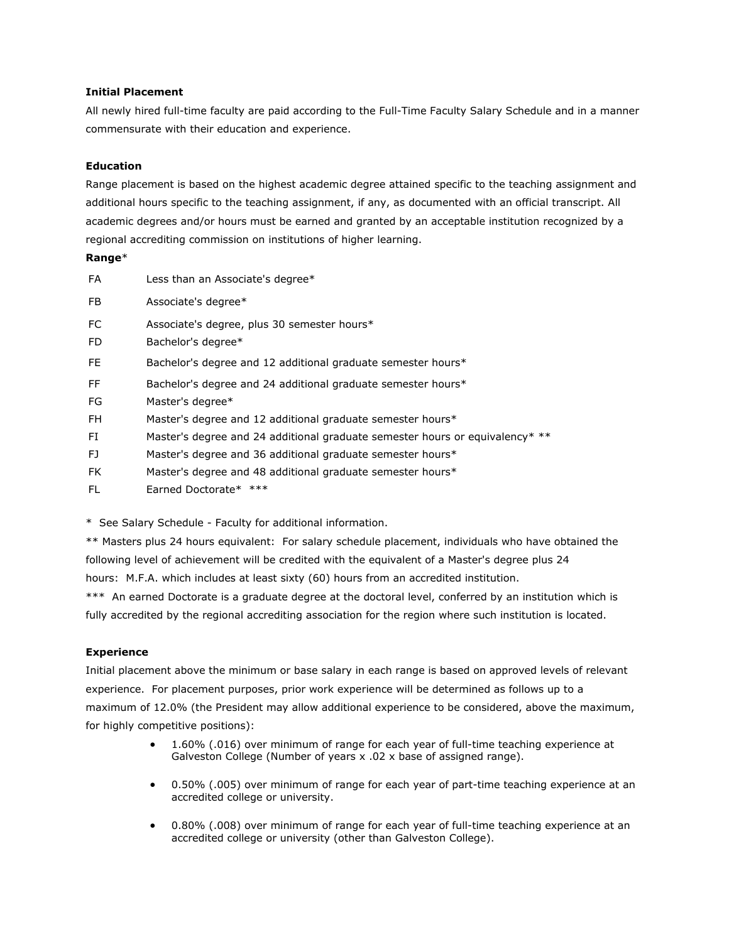### **Initial Placement**

All newly hired full-time faculty are paid according to the Full-Time Faculty Salary Schedule and in a manner commensurate with their education and experience.

## **Education**

Range placement is based on the highest academic degree attained specific to the teaching assignment and additional hours specific to the teaching assignment, if any, as documented with an official transcript. All academic degrees and/or hours must be earned and granted by an acceptable institution recognized by a regional accrediting commission on institutions of higher learning.

## **Range**\*

| <b>FA</b>       | Less than an Associate's degree*                                             |
|-----------------|------------------------------------------------------------------------------|
| FB.             | Associate's degree*                                                          |
| FC<br><b>FD</b> | Associate's degree, plus 30 semester hours*<br>Bachelor's degree*            |
| FE.             | Bachelor's degree and 12 additional graduate semester hours*                 |
| FF.             | Bachelor's degree and 24 additional graduate semester hours*                 |
| FG              | Master's degree*                                                             |
| FH.             | Master's degree and 12 additional graduate semester hours*                   |
| FI.             | Master's degree and 24 additional graduate semester hours or equivalency* ** |
| FJ.             | Master's degree and 36 additional graduate semester hours*                   |
| <b>FK</b>       | Master's degree and 48 additional graduate semester hours*                   |
| FL              | Earned Doctorate* ***                                                        |

\* See Salary Schedule - Faculty for additional information.

\*\* Masters plus 24 hours equivalent: For salary schedule placement, individuals who have obtained the following level of achievement will be credited with the equivalent of a Master's degree plus 24 hours: M.F.A. which includes at least sixty (60) hours from an accredited institution.

\*\*\* An earned Doctorate is a graduate degree at the doctoral level, conferred by an institution which is fully accredited by the regional accrediting association for the region where such institution is located.

### **Experience**

Initial placement above the minimum or base salary in each range is based on approved levels of relevant experience. For placement purposes, prior work experience will be determined as follows up to a maximum of 12.0% (the President may allow additional experience to be considered, above the maximum, for highly competitive positions):

- 1.60% (.016) over minimum of range for each year of full-time teaching experience at Galveston College (Number of years x .02 x base of assigned range).
- 0.50% (.005) over minimum of range for each year of part-time teaching experience at an accredited college or university.
- 0.80% (.008) over minimum of range for each year of full-time teaching experience at an accredited college or university (other than Galveston College).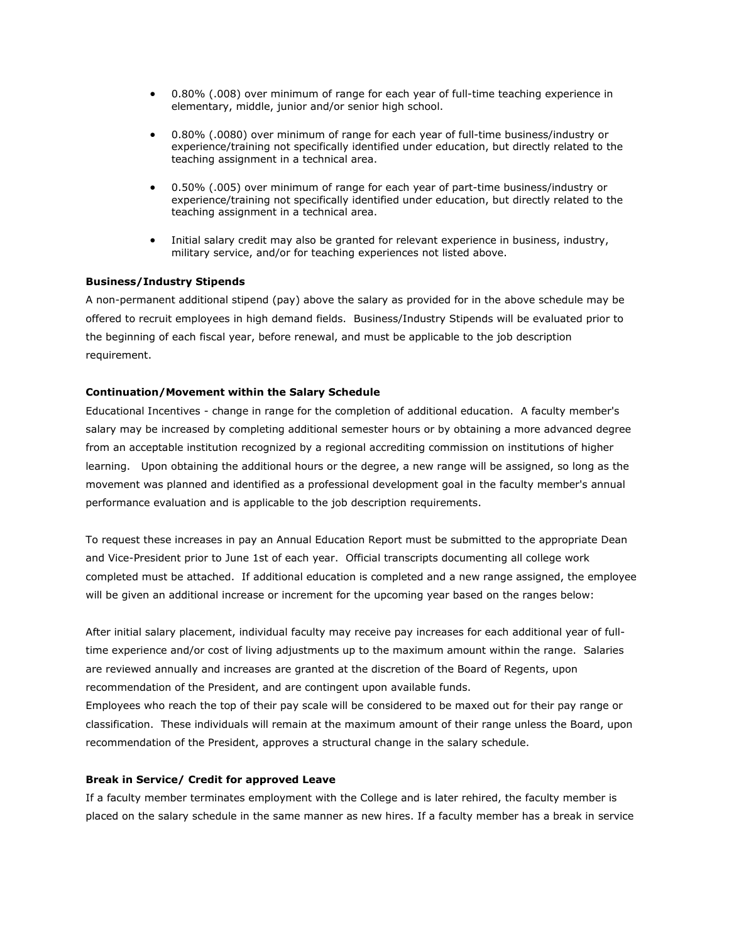- 0.80% (.008) over minimum of range for each year of full-time teaching experience in elementary, middle, junior and/or senior high school.
- 0.80% (.0080) over minimum of range for each year of full-time business/industry or experience/training not specifically identified under education, but directly related to the teaching assignment in a technical area.
- 0.50% (.005) over minimum of range for each year of part-time business/industry or experience/training not specifically identified under education, but directly related to the teaching assignment in a technical area.
- Initial salary credit may also be granted for relevant experience in business, industry, military service, and/or for teaching experiences not listed above.

### **Business/Industry Stipends**

A non-permanent additional stipend (pay) above the salary as provided for in the above schedule may be offered to recruit employees in high demand fields. Business/Industry Stipends will be evaluated prior to the beginning of each fiscal year, before renewal, and must be applicable to the job description requirement.

#### **Continuation/Movement within the Salary Schedule**

Educational Incentives - change in range for the completion of additional education. A faculty member's salary may be increased by completing additional semester hours or by obtaining a more advanced degree from an acceptable institution recognized by a regional accrediting commission on institutions of higher learning. Upon obtaining the additional hours or the degree, a new range will be assigned, so long as the movement was planned and identified as a professional development goal in the faculty member's annual performance evaluation and is applicable to the job description requirements.

To request these increases in pay an Annual Education Report must be submitted to the appropriate Dean and Vice-President prior to June 1st of each year. Official transcripts documenting all college work completed must be attached. If additional education is completed and a new range assigned, the employee will be given an additional increase or increment for the upcoming year based on the ranges below:

After initial salary placement, individual faculty may receive pay increases for each additional year of fulltime experience and/or cost of living adjustments up to the maximum amount within the range. Salaries are reviewed annually and increases are granted at the discretion of the Board of Regents, upon recommendation of the President, and are contingent upon available funds.

Employees who reach the top of their pay scale will be considered to be maxed out for their pay range or classification. These individuals will remain at the maximum amount of their range unless the Board, upon recommendation of the President, approves a structural change in the salary schedule.

#### **Break in Service/ Credit for approved Leave**

If a faculty member terminates employment with the College and is later rehired, the faculty member is placed on the salary schedule in the same manner as new hires. If a faculty member has a break in service